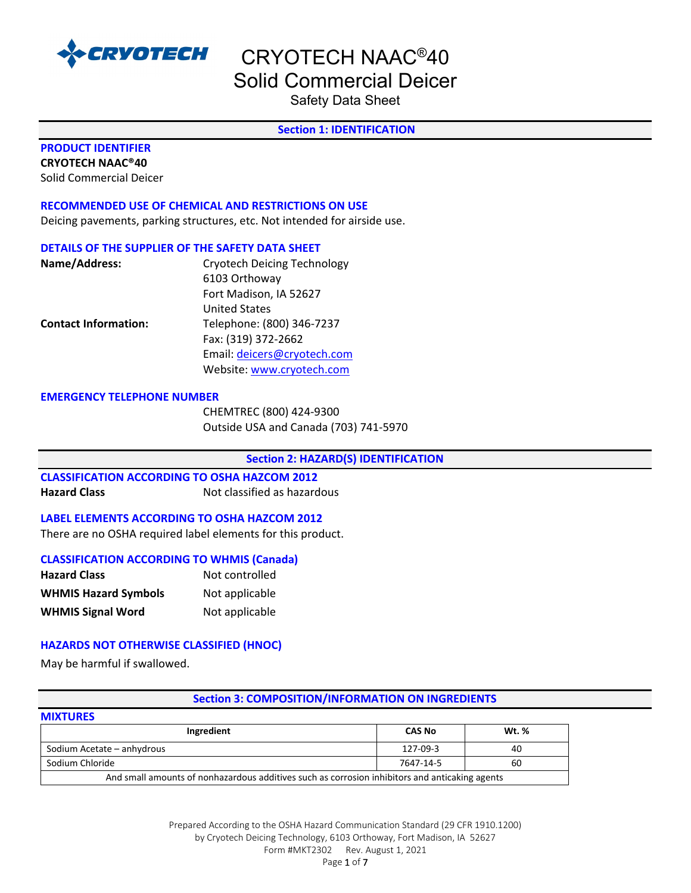

Safety Data Sheet

#### **Section 1: IDENTIFICATION**

### **PRODUCT IDENTIFIER**

**CRYOTECH NAAC®40** Solid Commercial Deicer

#### **RECOMMENDED USE OF CHEMICAL AND RESTRICTIONS ON USE**

Deicing pavements, parking structures, etc. Not intended for airside use.

#### **DETAILS OF THE SUPPLIER OF THE SAFETY DATA SHEET**

| Name/Address:               | <b>Cryotech Deicing Technology</b> |
|-----------------------------|------------------------------------|
|                             | 6103 Orthoway                      |
|                             | Fort Madison, IA 52627             |
|                             | <b>United States</b>               |
| <b>Contact Information:</b> | Telephone: (800) 346-7237          |
|                             | Fax: (319) 372-2662                |
|                             | Email: deicers@cryotech.com        |
|                             | Website: www.cryotech.com          |

#### **EMERGENCY TELEPHONE NUMBER**

CHEMTREC (800) 424-9300 Outside USA and Canada (703) 741-5970

#### **Section 2: HAZARD(S) IDENTIFICATION**

#### **CLASSIFICATION ACCORDING TO OSHA HAZCOM 2012 Hazard Class** Not classified as hazardous

#### **LABEL ELEMENTS ACCORDING TO OSHA HAZCOM 2012**

There are no OSHA required label elements for this product.

#### **CLASSIFICATION ACCORDING TO WHMIS (Canada)**

| <b>Hazard Class</b>         | Not controlled |
|-----------------------------|----------------|
| <b>WHMIS Hazard Symbols</b> | Not applicable |
| <b>WHMIS Signal Word</b>    | Not applicable |

#### **HAZARDS NOT OTHERWISE CLASSIFIED (HNOC)**

May be harmful if swallowed.

**MIXTURES** 

#### **Section 3: COMPOSITION/INFORMATION ON INGREDIENTS**

| <b>MIXTURES</b><br>Ingredient                                                                  | <b>CAS No</b> | <b>Wt.</b> % |
|------------------------------------------------------------------------------------------------|---------------|--------------|
| Sodium Acetate - anhydrous                                                                     | 127-09-3      | 40           |
| Sodium Chloride                                                                                | 7647-14-5     | 60           |
| And small amounts of nonhazardous additives such as corrosion inhibitors and anticaking agents |               |              |

Prepared According to the OSHA Hazard Communication Standard (29 CFR 1910.1200) by Cryotech Deicing Technology, 6103 Orthoway, Fort Madison, IA 52627 Form #MKT2302 Rev. August 1, 2021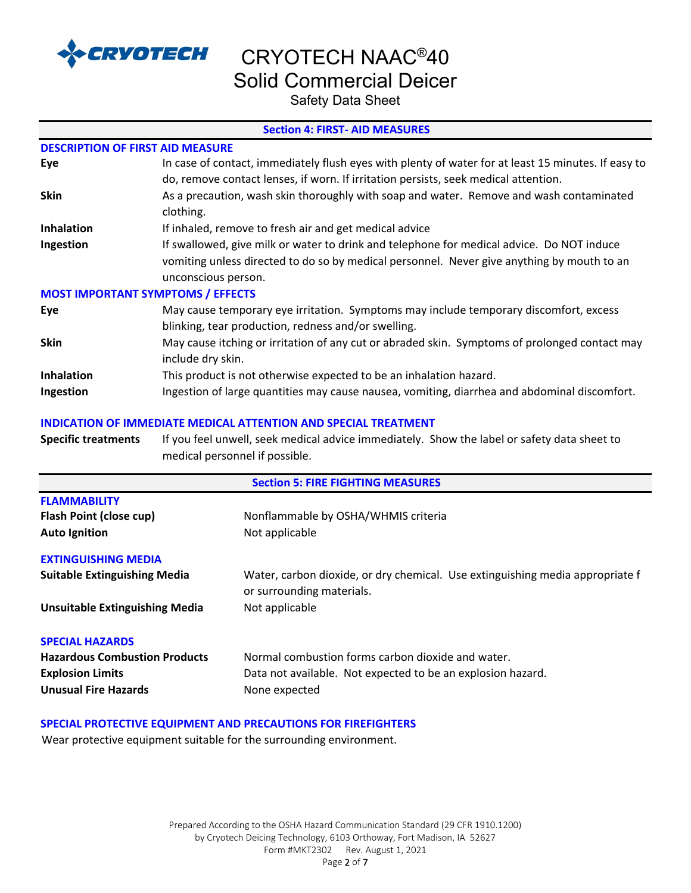

CRYOTECH NAAC®40

Solid Commercial Deicer

Safety Data Sheet

#### **Section 4: FIRST- AID MEASURES**

| <b>DESCRIPTION OF FIRST AID MEASURE</b>  |                                                                                                                                              |
|------------------------------------------|----------------------------------------------------------------------------------------------------------------------------------------------|
| Eye                                      | In case of contact, immediately flush eyes with plenty of water for at least 15 minutes. If easy to                                          |
|                                          | do, remove contact lenses, if worn. If irritation persists, seek medical attention.                                                          |
| <b>Skin</b>                              | As a precaution, wash skin thoroughly with soap and water. Remove and wash contaminated<br>clothing.                                         |
| <b>Inhalation</b>                        | If inhaled, remove to fresh air and get medical advice                                                                                       |
| Ingestion                                | If swallowed, give milk or water to drink and telephone for medical advice. Do NOT induce                                                    |
|                                          | vomiting unless directed to do so by medical personnel. Never give anything by mouth to an                                                   |
|                                          | unconscious person.                                                                                                                          |
| <b>MOST IMPORTANT SYMPTOMS / EFFECTS</b> |                                                                                                                                              |
| Eye                                      | May cause temporary eye irritation. Symptoms may include temporary discomfort, excess<br>blinking, tear production, redness and/or swelling. |
| <b>Skin</b>                              | May cause itching or irritation of any cut or abraded skin. Symptoms of prolonged contact may                                                |
|                                          | include dry skin.                                                                                                                            |
| <b>Inhalation</b>                        | This product is not otherwise expected to be an inhalation hazard.                                                                           |
| Ingestion                                | Ingestion of large quantities may cause nausea, vomiting, diarrhea and abdominal discomfort.                                                 |

#### **INDICATION OF IMMEDIATE MEDICAL ATTENTION AND SPECIAL TREATMENT**

| <b>Specific treatments</b> | If you feel unwell, seek medical advice immediately. Show the label or safety data sheet to |
|----------------------------|---------------------------------------------------------------------------------------------|
|                            | medical personnel if possible.                                                              |

| <b>Section 5: FIRE FIGHTING MEASURES</b> |                                                                               |  |
|------------------------------------------|-------------------------------------------------------------------------------|--|
| <b>FLAMMABILITY</b>                      |                                                                               |  |
| <b>Flash Point (close cup)</b>           | Nonflammable by OSHA/WHMIS criteria                                           |  |
| <b>Auto Ignition</b>                     | Not applicable                                                                |  |
| <b>EXTINGUISHING MEDIA</b>               |                                                                               |  |
| <b>Suitable Extinguishing Media</b>      | Water, carbon dioxide, or dry chemical. Use extinguishing media appropriate f |  |
|                                          | or surrounding materials.                                                     |  |
| <b>Unsuitable Extinguishing Media</b>    | Not applicable                                                                |  |
| <b>SPECIAL HAZARDS</b>                   |                                                                               |  |
| <b>Hazardous Combustion Products</b>     | Normal combustion forms carbon dioxide and water.                             |  |
| <b>Explosion Limits</b>                  | Data not available. Not expected to be an explosion hazard.                   |  |
| <b>Unusual Fire Hazards</b>              | None expected                                                                 |  |

#### **SPECIAL PROTECTIVE EQUIPMENT AND PRECAUTIONS FOR FIREFIGHTERS**

Wear protective equipment suitable for the surrounding environment.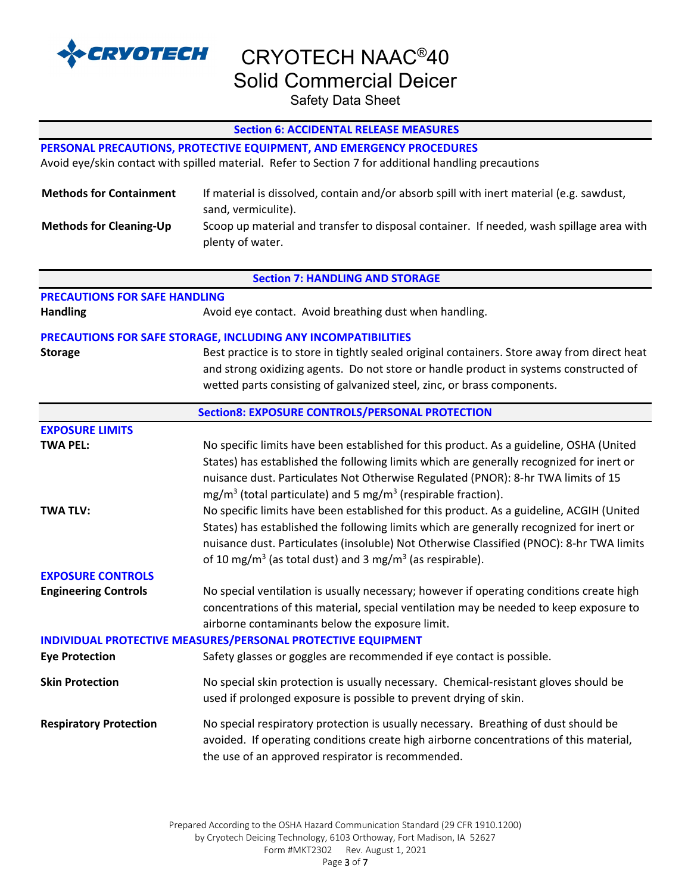

Safety Data Sheet

| <b>Section 6: ACCIDENTAL RELEASE MEASURES</b>                        |                                                                                                      |  |  |
|----------------------------------------------------------------------|------------------------------------------------------------------------------------------------------|--|--|
| PERSONAL PRECAUTIONS, PROTECTIVE EQUIPMENT, AND EMERGENCY PROCEDURES |                                                                                                      |  |  |
|                                                                      | Avoid eye/skin contact with spilled material. Refer to Section 7 for additional handling precautions |  |  |
|                                                                      |                                                                                                      |  |  |
| <b>Methods for Containment</b>                                       | If material is dissolved, contain and/or absorb spill with inert material (e.g. sawdust,             |  |  |
|                                                                      | sand, vermiculite).                                                                                  |  |  |
| <b>Methods for Cleaning-Up</b>                                       | Scoop up material and transfer to disposal container. If needed, wash spillage area with             |  |  |
|                                                                      | plenty of water.                                                                                     |  |  |
|                                                                      | <b>Section 7: HANDLING AND STORAGE</b>                                                               |  |  |
| <b>PRECAUTIONS FOR SAFE HANDLING</b>                                 |                                                                                                      |  |  |
| <b>Handling</b>                                                      | Avoid eye contact. Avoid breathing dust when handling.                                               |  |  |
|                                                                      |                                                                                                      |  |  |
|                                                                      | PRECAUTIONS FOR SAFE STORAGE, INCLUDING ANY INCOMPATIBILITIES                                        |  |  |
| <b>Storage</b>                                                       | Best practice is to store in tightly sealed original containers. Store away from direct heat         |  |  |
|                                                                      | and strong oxidizing agents. Do not store or handle product in systems constructed of                |  |  |
|                                                                      | wetted parts consisting of galvanized steel, zinc, or brass components.                              |  |  |
|                                                                      | <b>Section8: EXPOSURE CONTROLS/PERSONAL PROTECTION</b>                                               |  |  |
| <b>EXPOSURE LIMITS</b>                                               |                                                                                                      |  |  |
| <b>TWA PEL:</b>                                                      | No specific limits have been established for this product. As a guideline, OSHA (United              |  |  |
|                                                                      | States) has established the following limits which are generally recognized for inert or             |  |  |
|                                                                      | nuisance dust. Particulates Not Otherwise Regulated (PNOR): 8-hr TWA limits of 15                    |  |  |
|                                                                      | $mg/m3$ (total particulate) and 5 mg/m <sup>3</sup> (respirable fraction).                           |  |  |
| <b>TWA TLV:</b>                                                      | No specific limits have been established for this product. As a guideline, ACGIH (United             |  |  |
|                                                                      | States) has established the following limits which are generally recognized for inert or             |  |  |
|                                                                      | nuisance dust. Particulates (insoluble) Not Otherwise Classified (PNOC): 8-hr TWA limits             |  |  |
|                                                                      | of 10 mg/m <sup>3</sup> (as total dust) and 3 mg/m <sup>3</sup> (as respirable).                     |  |  |
| <b>EXPOSURE CONTROLS</b>                                             |                                                                                                      |  |  |
| <b>Engineering Controls</b>                                          | No special ventilation is usually necessary; however if operating conditions create high             |  |  |
|                                                                      | concentrations of this material, special ventilation may be needed to keep exposure to               |  |  |
|                                                                      | airborne contaminants below the exposure limit.                                                      |  |  |
|                                                                      | INDIVIDUAL PROTECTIVE MEASURES/PERSONAL PROTECTIVE EQUIPMENT                                         |  |  |
| <b>Eye Protection</b>                                                | Safety glasses or goggles are recommended if eye contact is possible.                                |  |  |
| <b>Skin Protection</b>                                               | No special skin protection is usually necessary. Chemical-resistant gloves should be                 |  |  |
|                                                                      | used if prolonged exposure is possible to prevent drying of skin.                                    |  |  |
| <b>Respiratory Protection</b>                                        | No special respiratory protection is usually necessary. Breathing of dust should be                  |  |  |
|                                                                      | avoided. If operating conditions create high airborne concentrations of this material,               |  |  |
|                                                                      | the use of an approved respirator is recommended.                                                    |  |  |
|                                                                      |                                                                                                      |  |  |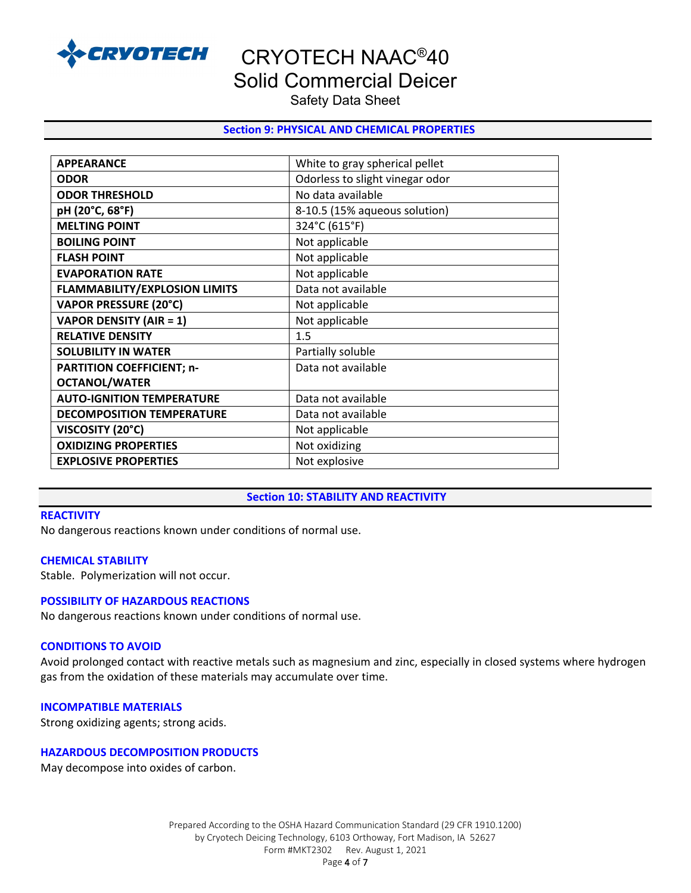

CRYOTECH NAAC®40

## Solid Commercial Deicer

Safety Data Sheet

#### **Section 9: PHYSICAL AND CHEMICAL PROPERTIES**

| <b>APPEARANCE</b>                    | White to gray spherical pellet  |
|--------------------------------------|---------------------------------|
| <b>ODOR</b>                          | Odorless to slight vinegar odor |
| <b>ODOR THRESHOLD</b>                | No data available               |
| pH (20°C, 68°F)                      | 8-10.5 (15% aqueous solution)   |
| <b>MELTING POINT</b>                 | 324°C (615°F)                   |
| <b>BOILING POINT</b>                 | Not applicable                  |
| <b>FLASH POINT</b>                   | Not applicable                  |
| <b>EVAPORATION RATE</b>              | Not applicable                  |
| <b>FLAMMABILITY/EXPLOSION LIMITS</b> | Data not available              |
| <b>VAPOR PRESSURE (20°C)</b>         | Not applicable                  |
| <b>VAPOR DENSITY (AIR = 1)</b>       | Not applicable                  |
| <b>RELATIVE DENSITY</b>              | 1.5                             |
| <b>SOLUBILITY IN WATER</b>           | Partially soluble               |
| <b>PARTITION COEFFICIENT; n-</b>     | Data not available              |
| <b>OCTANOL/WATER</b>                 |                                 |
| <b>AUTO-IGNITION TEMPERATURE</b>     | Data not available              |
| <b>DECOMPOSITION TEMPERATURE</b>     | Data not available              |
| VISCOSITY (20°C)                     | Not applicable                  |
| <b>OXIDIZING PROPERTIES</b>          | Not oxidizing                   |
| <b>EXPLOSIVE PROPERTIES</b>          | Not explosive                   |

#### **Section 10: STABILITY AND REACTIVITY**

#### **REACTIVITY**

No dangerous reactions known under conditions of normal use.

#### **CHEMICAL STABILITY**

Stable. Polymerization will not occur.

#### **POSSIBILITY OF HAZARDOUS REACTIONS**

No dangerous reactions known under conditions of normal use.

#### **CONDITIONS TO AVOID**

Avoid prolonged contact with reactive metals such as magnesium and zinc, especially in closed systems where hydrogen gas from the oxidation of these materials may accumulate over time.

#### **INCOMPATIBLE MATERIALS**

Strong oxidizing agents; strong acids.

#### **HAZARDOUS DECOMPOSITION PRODUCTS**

May decompose into oxides of carbon.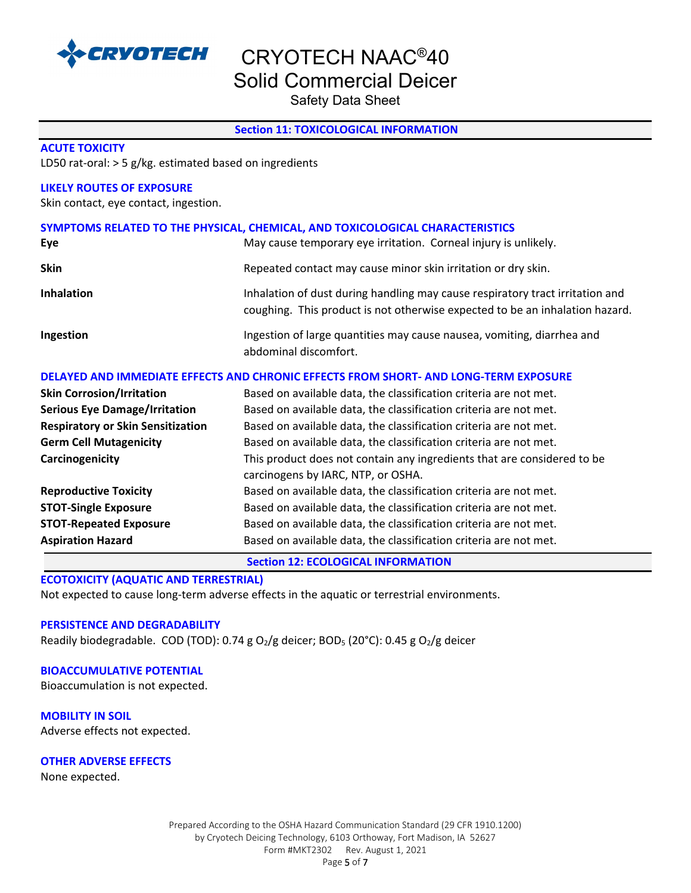

Safety Data Sheet

#### **Section 11: TOXICOLOGICAL INFORMATION**

#### **ACUTE TOXICITY**

LD50 rat-oral: > 5 g/kg. estimated based on ingredients

#### **LIKELY ROUTES OF EXPOSURE**

Skin contact, eye contact, ingestion.

| SYMPTOMS RELATED TO THE PHYSICAL, CHEMICAL, AND TOXICOLOGICAL CHARACTERISTICS |                                                                                                                                                               |  |  |
|-------------------------------------------------------------------------------|---------------------------------------------------------------------------------------------------------------------------------------------------------------|--|--|
| Eye                                                                           | May cause temporary eye irritation. Corneal injury is unlikely.                                                                                               |  |  |
| <b>Skin</b>                                                                   | Repeated contact may cause minor skin irritation or dry skin.                                                                                                 |  |  |
| <b>Inhalation</b>                                                             | Inhalation of dust during handling may cause respiratory tract irritation and<br>coughing. This product is not otherwise expected to be an inhalation hazard. |  |  |
| Ingestion                                                                     | Ingestion of large quantities may cause nausea, vomiting, diarrhea and<br>abdominal discomfort.                                                               |  |  |

#### **DELAYED AND IMMEDIATE EFFECTS AND CHRONIC EFFECTS FROM SHORT- AND LONG-TERM EXPOSURE**

| <b>Skin Corrosion/Irritation</b>         | Based on available data, the classification criteria are not met.       |
|------------------------------------------|-------------------------------------------------------------------------|
| <b>Serious Eye Damage/Irritation</b>     | Based on available data, the classification criteria are not met.       |
| <b>Respiratory or Skin Sensitization</b> | Based on available data, the classification criteria are not met.       |
| <b>Germ Cell Mutagenicity</b>            | Based on available data, the classification criteria are not met.       |
| Carcinogenicity                          | This product does not contain any ingredients that are considered to be |
|                                          | carcinogens by IARC, NTP, or OSHA.                                      |
| <b>Reproductive Toxicity</b>             | Based on available data, the classification criteria are not met.       |
| <b>STOT-Single Exposure</b>              | Based on available data, the classification criteria are not met.       |
| <b>STOT-Repeated Exposure</b>            | Based on available data, the classification criteria are not met.       |
| <b>Aspiration Hazard</b>                 | Based on available data, the classification criteria are not met.       |

**Section 12: ECOLOGICAL INFORMATION**

#### **ECOTOXICITY (AQUATIC AND TERRESTRIAL)**

Not expected to cause long-term adverse effects in the aquatic or terrestrial environments.

#### **PERSISTENCE AND DEGRADABILITY**

Readily biodegradable. COD (TOD): 0.74 g  $O_2/g$  deicer; BOD<sub>5</sub> (20°C): 0.45 g  $O_2/g$  deicer

#### **BIOACCUMULATIVE POTENTIAL**

Bioaccumulation is not expected.

**MOBILITY IN SOIL** Adverse effects not expected.

**OTHER ADVERSE EFFECTS**

None expected.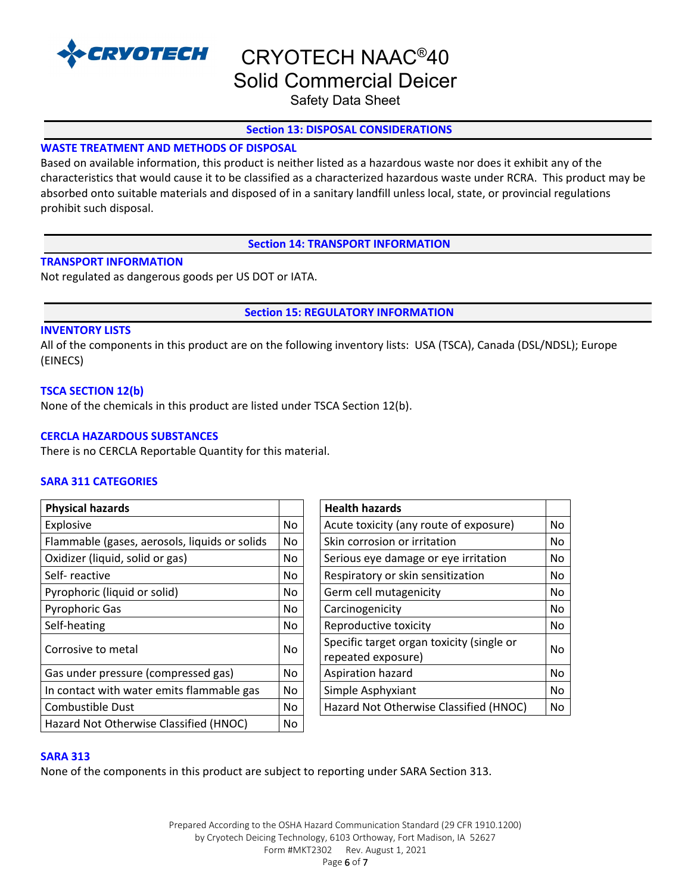

# CRYOTECH NAAC®40

Solid Commercial Deicer

Safety Data Sheet

#### **Section 13: DISPOSAL CONSIDERATIONS**

#### **WASTE TREATMENT AND METHODS OF DISPOSAL**

Based on available information, this product is neither listed as a hazardous waste nor does it exhibit any of the characteristics that would cause it to be classified as a characterized hazardous waste under RCRA. This product may be absorbed onto suitable materials and disposed of in a sanitary landfill unless local, state, or provincial regulations prohibit such disposal.

#### **Section 14: TRANSPORT INFORMATION**

#### **TRANSPORT INFORMATION**

Not regulated as dangerous goods per US DOT or IATA.

**Section 15: REGULATORY INFORMATION** 

#### **INVENTORY LISTS**

All of the components in this product are on the following inventory lists: USA (TSCA), Canada (DSL/NDSL); Europe (EINECS)

#### **TSCA SECTION 12(b)**

None of the chemicals in this product are listed under TSCA Section 12(b).

#### **CERCLA HAZARDOUS SUBSTANCES**

There is no CERCLA Reportable Quantity for this material.

#### **SARA 311 CATEGORIES**

| <b>Physical hazards</b>                       |     | <b>Health hazards</b>                                           |    |
|-----------------------------------------------|-----|-----------------------------------------------------------------|----|
| Explosive                                     | No  | Acute toxicity (any route of exposure)                          | No |
| Flammable (gases, aerosols, liquids or solids | No  | Skin corrosion or irritation                                    | No |
| Oxidizer (liquid, solid or gas)               | No. | Serious eye damage or eye irritation                            | No |
| Self-reactive                                 | No  | Respiratory or skin sensitization                               | No |
| Pyrophoric (liquid or solid)                  | No. | Germ cell mutagenicity                                          | No |
| <b>Pyrophoric Gas</b>                         | No. | Carcinogenicity                                                 | No |
| Self-heating                                  | No. | Reproductive toxicity                                           | No |
| Corrosive to metal                            | No. | Specific target organ toxicity (single or<br>repeated exposure) | No |
| Gas under pressure (compressed gas)           | No. | Aspiration hazard                                               | No |
| In contact with water emits flammable gas     | No. | Simple Asphyxiant                                               | No |
| <b>Combustible Dust</b>                       | No. | Hazard Not Otherwise Classified (HNOC)                          | No |
| Hazard Not Otherwise Classified (HNOC)        | No. |                                                                 |    |

| <b>Health hazards</b>                                           |     |
|-----------------------------------------------------------------|-----|
| Acute toxicity (any route of exposure)                          | No  |
| Skin corrosion or irritation                                    | No  |
| Serious eye damage or eye irritation                            | No  |
| Respiratory or skin sensitization                               | No. |
| Germ cell mutagenicity                                          | No. |
| Carcinogenicity                                                 |     |
| Reproductive toxicity                                           |     |
| Specific target organ toxicity (single or<br>repeated exposure) | Nο  |
| Aspiration hazard                                               | No  |
| Simple Asphyxiant                                               | No  |
| Hazard Not Otherwise Classified (HNOC)                          |     |

#### **SARA 313**

None of the components in this product are subject to reporting under SARA Section 313.